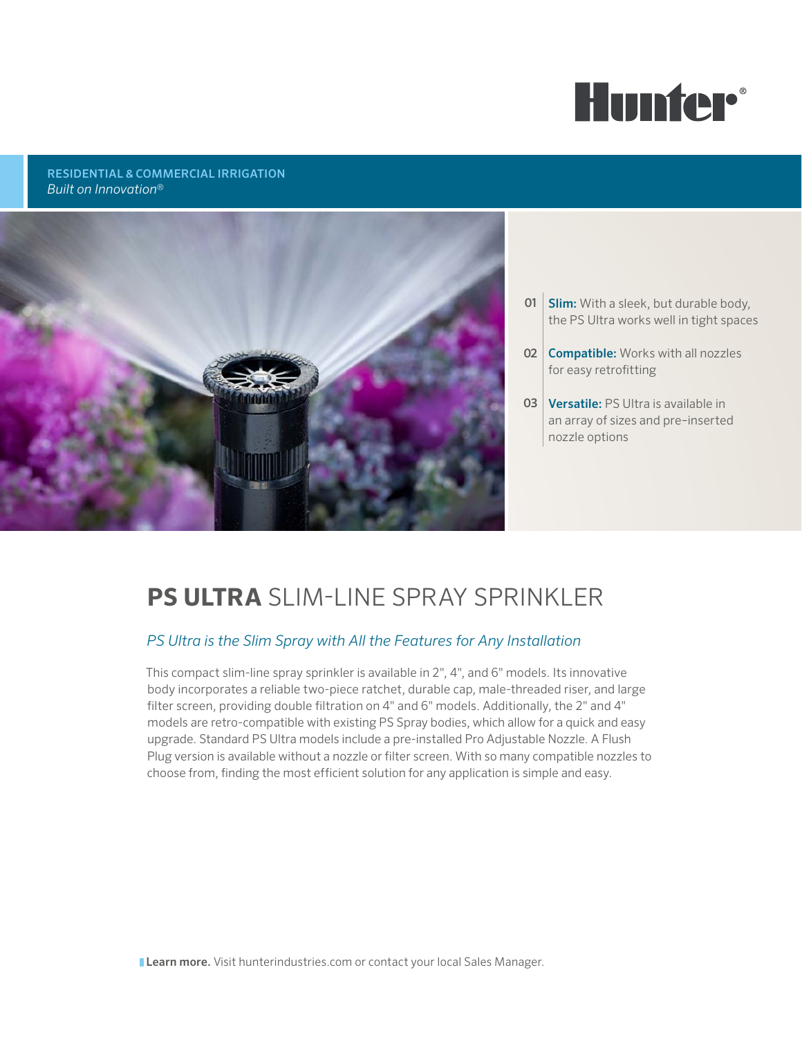

# RESIDENTIAL & COMMERCIAL IRRIGATION *Built on Innovation*®



- **01 Slim:** With a sleek, but durable body, the PS Ultra works well in tight spaces
- 02 **Compatible:** Works with all nozzles for easy retrofitting
- **03** Versatile: PS Ultra is available in an array of sizes and pre–inserted nozzle options

# **PS ULTRA** SLIM-LINE SPRAY SPRINKLER

# *PS Ultra is the Slim Spray with All the Features for Any Installation*

This compact slim-line spray sprinkler is available in 2", 4", and 6" models. Its innovative body incorporates a reliable two-piece ratchet, durable cap, male-threaded riser, and large filter screen, providing double filtration on 4" and 6" models. Additionally, the 2" and 4" models are retro-compatible with existing PS Spray bodies, which allow for a quick and easy upgrade. Standard PS Ultra models include a pre-installed Pro Adjustable Nozzle. A Flush Plug version is available without a nozzle or filter screen. With so many compatible nozzles to choose from, finding the most efficient solution for any application is simple and easy.